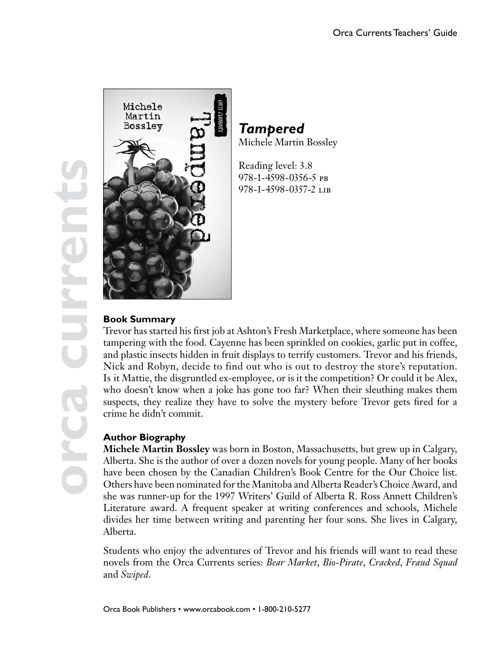**orca currents**



# *Tampered* Michele Martin Bossley

Reading level: 3.8 978-1-4598-0356-5 pb 978-1-4598-0357-2 lib

## **Book Summary**

Trevor has started his first job at Ashton's Fresh Marketplace, where someone has been tampering with the food. Cayenne has been sprinkled on cookies, garlic put in coffee, and plastic insects hidden in fruit displays to terrify customers. Trevor and his friends, Nick and Robyn, decide to find out who is out to destroy the store's reputation. Is it Mattie, the disgruntled ex-employee, or is it the competition? Or could it be Alex, who doesn't know when a joke has gone too far? When their sleuthing makes them suspects, they realize they have to solve the mystery before Trevor gets fired for a crime he didn't commit.

### **Author Biography**

**Michele Martin Bossley** was born in Boston, Massachusetts, but grew up in Calgary, Alberta. She is the author of over a dozen novels for young people. Many of her books have been chosen by the Canadian Children's Book Centre for the Our Choice list. Others have been nominated for the Manitoba and Alberta Reader's Choice Award, and she was runner-up for the 1997 Writers' Guild of Alberta R. Ross Annett Children's Literature award. A frequent speaker at writing conferences and schools, Michele divides her time between writing and parenting her four sons. She lives in Calgary, Alberta.

Students who enjoy the adventures of Trevor and his friends will want to read these novels from the Orca Currents series: *Bear Market*, *Bio-Pirate*, *Cracked*, *Fraud Squad*  and *Swiped*.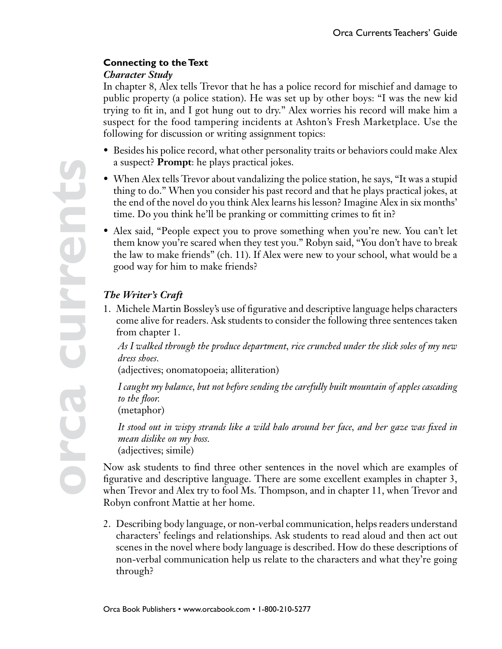## **Connecting to the Text**

### *Character Study*

In chapter 8, Alex tells Trevor that he has a police record for mischief and damage to public property (a police station). He was set up by other boys: "I was the new kid trying to fit in, and I got hung out to dry." Alex worries his record will make him a suspect for the food tampering incidents at Ashton's Fresh Marketplace. Use the following for discussion or writing assignment topics:

- Besides his police record, what other personality traits or behaviors could make Alex a suspect? **Prompt**: he plays practical jokes.
- When Alex tells Trevor about vandalizing the police station, he says, "It was a stupid thing to do." When you consider his past record and that he plays practical jokes, at the end of the novel do you think Alex learns his lesson? Imagine Alex in six months' time. Do you think he'll be pranking or committing crimes to fit in?
- Alex said, "People expect you to prove something when you're new. You can't let them know you're scared when they test you." Robyn said, "You don't have to break the law to make friends" (ch. 11). If Alex were new to your school, what would be a good way for him to make friends?

## *The Writer's Craft*

1. Michele Martin Bossley's use of figurative and descriptive language helps characters come alive for readers. Ask students to consider the following three sentences taken from chapter 1.

*As I walked through the produce department, rice crunched under the slick soles of my new dress shoes.*

(adjectives; onomatopoeia; alliteration)

*I caught my balance, but not before sending the carefully built mountain of apples cascading to the floor.*

(metaphor)

*It stood out in wispy strands like a wild halo around her face, and her gaze was fixed in mean dislike on my boss.* (adjectives; simile)

Now ask students to find three other sentences in the novel which are examples of figurative and descriptive language. There are some excellent examples in chapter 3, when Trevor and Alex try to fool Ms. Thompson, and in chapter 11, when Trevor and Robyn confront Mattie at her home.

2. Describing body language, or non-verbal communication, helps readers understand characters' feelings and relationships. Ask students to read aloud and then act out scenes in the novel where body language is described. How do these descriptions of non-verbal communication help us relate to the characters and what they're going through?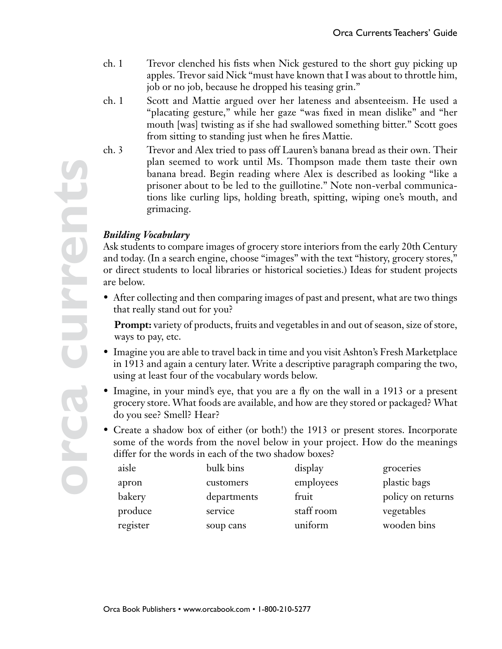- ch. 1 Trevor clenched his fists when Nick gestured to the short guy picking up apples. Trevor said Nick "must have known that I was about to throttle him, job or no job, because he dropped his teasing grin."
- ch. 1 Scott and Mattie argued over her lateness and absenteeism. He used a "placating gesture," while her gaze "was fixed in mean dislike" and "her mouth [was] twisting as if she had swallowed something bitter." Scott goes from sitting to standing just when he fires Mattie.
- ch. 3 Trevor and Alex tried to pass off Lauren's banana bread as their own. Their plan seemed to work until Ms. Thompson made them taste their own banana bread. Begin reading where Alex is described as looking "like a prisoner about to be led to the guillotine." Note non-verbal communications like curling lips, holding breath, spitting, wiping one's mouth, and grimacing.

#### *Building Vocabulary*

Ask students to compare images of grocery store interiors from the early 20th Century and today. (In a search engine, choose "images" with the text "history, grocery stores," or direct students to local libraries or historical societies.) Ideas for student projects are below.

• After collecting and then comparing images of past and present, what are two things that really stand out for you?

**Prompt:** variety of products, fruits and vegetables in and out of season, size of store, ways to pay, etc.

- Imagine you are able to travel back in time and you visit Ashton's Fresh Marketplace in 1913 and again a century later. Write a descriptive paragraph comparing the two, using at least four of the vocabulary words below.
- Imagine, in your mind's eye, that you are a fly on the wall in a 1913 or a present grocery store. What foods are available, and how are they stored or packaged? What do you see? Smell? Hear?
- Create a shadow box of either (or both!) the 1913 or present stores. Incorporate some of the words from the novel below in your project. How do the meanings differ for the words in each of the two shadow boxes?

| aisle    | bulk bins   | display    | groceries         |
|----------|-------------|------------|-------------------|
| apron    | customers   | employees  | plastic bags      |
| bakery   | departments | fruit      | policy on returns |
| produce  | service     | staff room | vegetables        |
| register | soup cans   | uniform    | wooden bins       |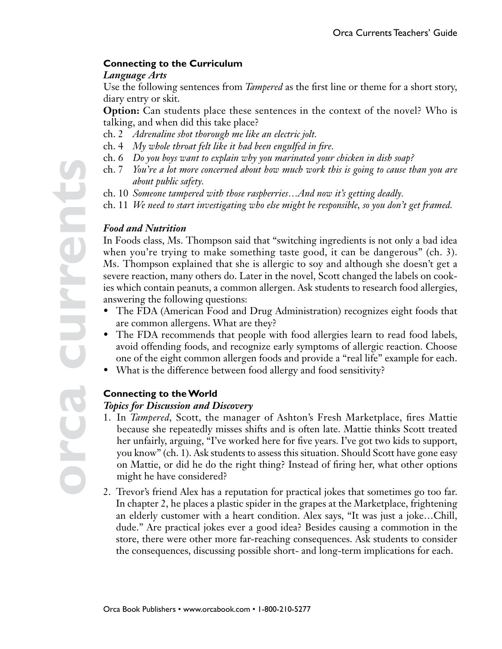#### **Connecting to the Curriculum**

#### *Language Arts*

Use the following sentences from *Tampered* as the first line or theme for a short story, diary entry or skit.

**Option:** Can students place these sentences in the context of the novel? Who is talking, and when did this take place?

- ch. 2 *Adrenaline shot thorough me like an electric jolt.*
- ch. 4 *My whole throat felt like it had been engulfed in fire.*
- ch. 6 *Do you boys want to explain why you marinated your chicken in dish soap?*
- ch. 7 *You're a lot more concerned about how much work this is going to cause than you are about public safety.*
- ch. 10 *Someone tampered with those raspberries…And now it's getting deadly.*
- ch. 11 *We need to start investigating who else might be responsible, so you don't get framed.*

#### *Food and Nutrition*

In Foods class, Ms. Thompson said that "switching ingredients is not only a bad idea when you're trying to make something taste good, it can be dangerous" (ch. 3). Ms. Thompson explained that she is allergic to soy and although she doesn't get a severe reaction, many others do. Later in the novel, Scott changed the labels on cookies which contain peanuts, a common allergen. Ask students to research food allergies, answering the following questions:

- The FDA (American Food and Drug Administration) recognizes eight foods that are common allergens. What are they?
- The FDA recommends that people with food allergies learn to read food labels, avoid offending foods, and recognize early symptoms of allergic reaction. Choose one of the eight common allergen foods and provide a "real life" example for each.
- What is the difference between food allergy and food sensitivity?

### **Connecting to the World**

#### *Topics for Discussion and Discovery*

- 1. In *Tampered*, Scott, the manager of Ashton's Fresh Marketplace, fires Mattie because she repeatedly misses shifts and is often late. Mattie thinks Scott treated her unfairly, arguing, "I've worked here for five years. I've got two kids to support, you know" (ch. 1). Ask students to assess this situation. Should Scott have gone easy on Mattie, or did he do the right thing? Instead of firing her, what other options might he have considered?
- 2. Trevor's friend Alex has a reputation for practical jokes that sometimes go too far. In chapter 2, he places a plastic spider in the grapes at the Marketplace, frightening an elderly customer with a heart condition. Alex says, "It was just a joke…Chill, dude." Are practical jokes ever a good idea? Besides causing a commotion in the store, there were other more far-reaching consequences. Ask students to consider the consequences, discussing possible short- and long-term implications for each.